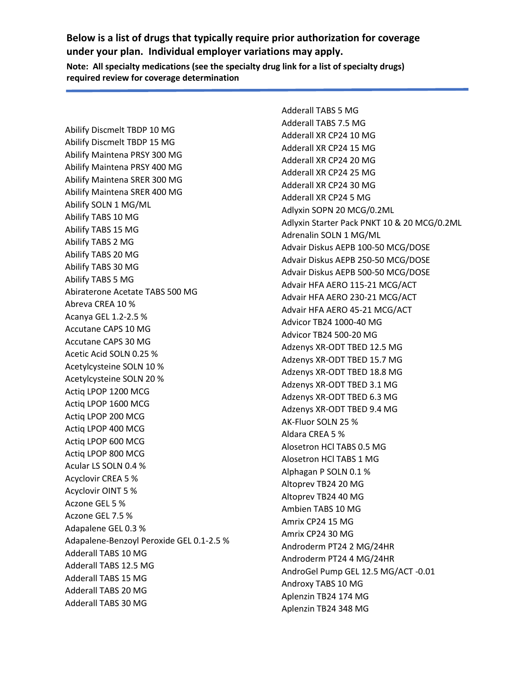Abilify Discmelt TBDP 10 MG Abilify Discmelt TBDP 15 MG Abilify Maintena PRSY 300 MG Abilify Maintena PRSY 400 MG Abilify Maintena SRER 300 MG Abilify Maintena SRER 400 MG Abilify SOLN 1 MG/ML Abilify TABS 10 MG Abilify TABS 15 MG Abilify TABS 2 MG Abilify TABS 20 MG Abilify TABS 30 MG Abilify TABS 5 MG Abiraterone Acetate TABS 500 MG Abreva CREA 10 % Acanya GEL 1.2-2.5 % Accutane CAPS 10 MG Accutane CAPS 30 MG Acetic Acid SOLN 0.25 % Acetylcysteine SOLN 10 % Acetylcysteine SOLN 20 % Actiq LPOP 1200 MCG Actiq LPOP 1600 MCG Actiq LPOP 200 MCG Actiq LPOP 400 MCG Actiq LPOP 600 MCG Actiq LPOP 800 MCG Acular LS SOLN 0.4 % Acyclovir CREA 5 % Acyclovir OINT 5 % Aczone GEL 5 % Aczone GEL 7.5 % Adapalene GEL 0.3 % Adapalene-Benzoyl Peroxide GEL 0.1-2.5 % Adderall TABS 10 MG Adderall TABS 12.5 MG Adderall TABS 15 MG Adderall TABS 20 MG Adderall TABS 30 MG

Adderall TABS 5 MG Adderall TABS 7.5 MG Adderall XR CP24 10 MG Adderall XR CP24 15 MG Adderall XR CP24 20 MG Adderall XR CP24 25 MG Adderall XR CP24 30 MG Adderall XR CP24 5 MG Adlyxin SOPN 20 MCG/0.2ML Adlyxin Starter Pack PNKT 10 & 20 MCG/0.2ML Adrenalin SOLN 1 MG/ML Advair Diskus AEPB 100-50 MCG/DOSE Advair Diskus AEPB 250-50 MCG/DOSE Advair Diskus AEPB 500-50 MCG/DOSE Advair HFA AERO 115-21 MCG/ACT Advair HFA AERO 230-21 MCG/ACT Advair HFA AERO 45-21 MCG/ACT Advicor TB24 1000-40 MG Advicor TB24 500-20 MG Adzenys XR-ODT TBED 12.5 MG Adzenys XR-ODT TBED 15.7 MG Adzenys XR-ODT TBED 18.8 MG Adzenys XR-ODT TBED 3.1 MG Adzenys XR-ODT TBED 6.3 MG Adzenys XR-ODT TBED 9.4 MG AK-Fluor SOLN 25 % Aldara CREA 5 % Alosetron HCl TABS 0.5 MG Alosetron HCl TABS 1 MG Alphagan P SOLN 0.1 % Altoprev TB24 20 MG Altoprev TB24 40 MG Ambien TABS 10 MG Amrix CP24 15 MG Amrix CP24 30 MG Androderm PT24 2 MG/24HR Androderm PT24 4 MG/24HR AndroGel Pump GEL 12.5 MG/ACT -0.01 Androxy TABS 10 MG Aplenzin TB24 174 MG Aplenzin TB24 348 MG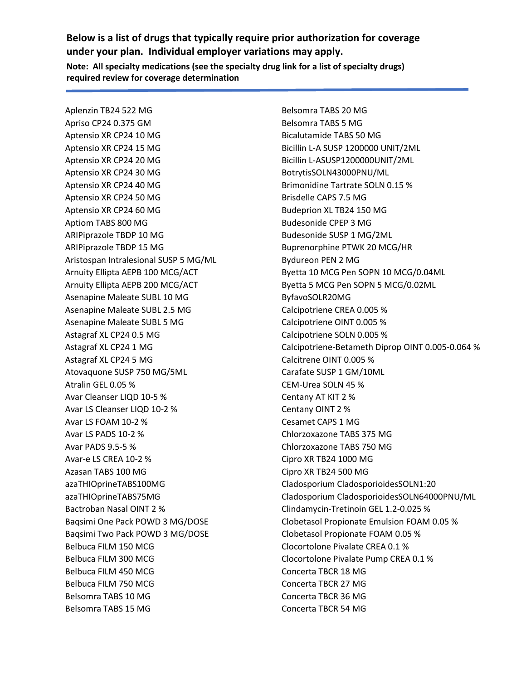Aplenzin TB24 522 MG Apriso CP24 0.375 GM Aptensio XR CP24 10 MG Aptensio XR CP24 15 MG Aptensio XR CP24 20 MG Aptensio XR CP24 30 MG Aptensio XR CP24 40 MG Aptensio XR CP24 50 MG Aptensio XR CP24 60 MG Aptiom TABS 800 MG ARIPiprazole TBDP 10 MG ARIPiprazole TBDP 15 MG Aristospan Intralesional SUSP 5 MG/ML Arnuity Ellipta AEPB 100 MCG/ACT Arnuity Ellipta AEPB 200 MCG/ACT Asenapine Maleate SUBL 10 MG Asenapine Maleate SUBL 2.5 MG Asenapine Maleate SUBL 5 MG Astagraf XL CP24 0.5 MG Astagraf XL CP24 1 MG Astagraf XL CP24 5 MG Atovaquone SUSP 750 MG/5ML Atralin GEL 0.05 % Avar Cleanser LIQD 10-5 % Avar LS Cleanser LIQD 10-2 % Avar LS FOAM 10-2 % Avar LS PADS 10-2 % Avar PADS 9.5-5 % Avar-e LS CREA 10-2 % Azasan TABS 100 MG azaTHIOprineTABS100MG azaTHIOprineTABS75MG Bactroban Nasal OINT 2 % Baqsimi One Pack POWD 3 MG/DOSE Baqsimi Two Pack POWD 3 MG/DOSE Belbuca FILM 150 MCG Belbuca FILM 300 MCG Belbuca FILM 450 MCG Belbuca FILM 750 MCG Belsomra TABS 10 MG Belsomra TABS 15 MG

Belsomra TABS 20 MG Belsomra TABS 5 MG Bicalutamide TABS 50 MG Bicillin L-A SUSP 1200000 UNIT/2ML Bicillin L-ASUSP1200000UNIT/2ML BotrytisSOLN43000PNU/ML Brimonidine Tartrate SOLN 0.15 % Brisdelle CAPS 7.5 MG Budeprion XL TB24 150 MG Budesonide CPEP 3 MG Budesonide SUSP 1 MG/2ML Buprenorphine PTWK 20 MCG/HR Bydureon PEN 2 MG Byetta 10 MCG Pen SOPN 10 MCG/0.04ML Byetta 5 MCG Pen SOPN 5 MCG/0.02ML ByfavoSOLR20MG Calcipotriene CREA 0.005 % Calcipotriene OINT 0.005 % Calcipotriene SOLN 0.005 % Calcipotriene-Betameth Diprop OINT 0.005-0.064 % Calcitrene OINT 0.005 % Carafate SUSP 1 GM/10ML CEM-Urea SOLN 45 % Centany AT KIT 2 % Centany OINT 2 % Cesamet CAPS 1 MG Chlorzoxazone TABS 375 MG Chlorzoxazone TABS 750 MG Cipro XR TB24 1000 MG Cipro XR TB24 500 MG Cladosporium CladosporioidesSOLN1:20 Cladosporium CladosporioidesSOLN64000PNU/ML Clindamycin-Tretinoin GEL 1.2-0.025 % Clobetasol Propionate Emulsion FOAM 0.05 % Clobetasol Propionate FOAM 0.05 % Clocortolone Pivalate CREA 0.1 % Clocortolone Pivalate Pump CREA 0.1 % Concerta TBCR 18 MG Concerta TBCR 27 MG Concerta TBCR 36 MG Concerta TBCR 54 MG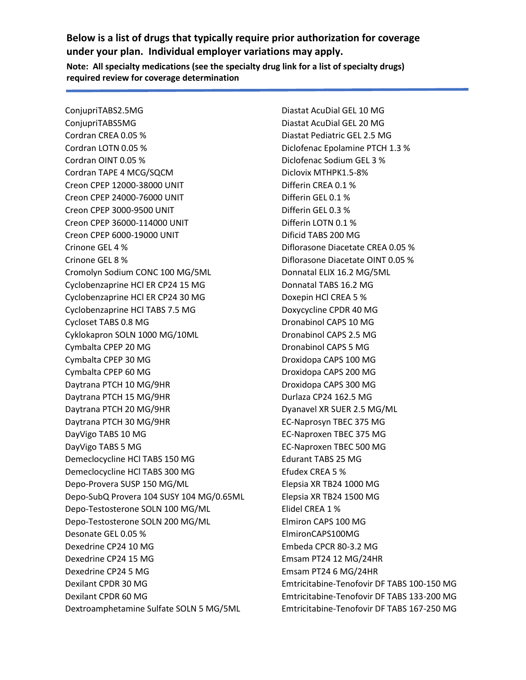ConjupriTABS2.5MG ConjupriTABS5MG Cordran CREA 0.05 % Cordran LOTN 0.05 % Cordran OINT 0.05 % Cordran TAPE 4 MCG/SQCM Creon CPEP 12000-38000 UNIT Creon CPEP 24000-76000 UNIT Creon CPEP 3000-9500 UNIT Creon CPEP 36000-114000 UNIT Creon CPEP 6000-19000 UNIT Crinone GEL 4 % Crinone GEL 8 % Cromolyn Sodium CONC 100 MG/5ML Cyclobenzaprine HCl ER CP24 15 MG Cyclobenzaprine HCl ER CP24 30 MG Cyclobenzaprine HCl TABS 7.5 MG Cycloset TABS 0.8 MG Cyklokapron SOLN 1000 MG/10ML Cymbalta CPEP 20 MG Cymbalta CPEP 30 MG Cymbalta CPEP 60 MG Daytrana PTCH 10 MG/9HR Daytrana PTCH 15 MG/9HR Daytrana PTCH 20 MG/9HR Daytrana PTCH 30 MG/9HR DayVigo TABS 10 MG DayVigo TABS 5 MG Demeclocycline HCl TABS 150 MG Demeclocycline HCl TABS 300 MG Depo-Provera SUSP 150 MG/ML Depo-SubQ Provera 104 SUSY 104 MG/0.65ML Depo-Testosterone SOLN 100 MG/ML Depo-Testosterone SOLN 200 MG/ML Desonate GEL 0.05 % Dexedrine CP24 10 MG Dexedrine CP24 15 MG Dexedrine CP24 5 MG Dexilant CPDR 30 MG Dexilant CPDR 60 MG Dextroamphetamine Sulfate SOLN 5 MG/5ML

Diastat AcuDial GEL 10 MG Diastat AcuDial GEL 20 MG Diastat Pediatric GEL 2.5 MG Diclofenac Epolamine PTCH 1.3 % Diclofenac Sodium GEL 3 % Diclovix MTHPK1.5-8% Differin CREA 0.1 % Differin GEL 0.1 % Differin GEL 0.3 % Differin LOTN 0.1 % Dificid TABS 200 MG Diflorasone Diacetate CREA 0.05 % Diflorasone Diacetate OINT 0.05 % Donnatal ELIX 16.2 MG/5ML Donnatal TABS 16.2 MG Doxepin HCl CREA 5 % Doxycycline CPDR 40 MG Dronabinol CAPS 10 MG Dronabinol CAPS 2.5 MG Dronabinol CAPS 5 MG Droxidopa CAPS 100 MG Droxidopa CAPS 200 MG Droxidopa CAPS 300 MG Durlaza CP24 162.5 MG Dyanavel XR SUER 2.5 MG/ML EC-Naprosyn TBEC 375 MG EC-Naproxen TBEC 375 MG EC-Naproxen TBEC 500 MG Edurant TABS 25 MG Efudex CREA 5 % Elepsia XR TB24 1000 MG Elepsia XR TB24 1500 MG Elidel CREA 1 % Elmiron CAPS 100 MG ElmironCAPS100MG Embeda CPCR 80-3.2 MG Emsam PT24 12 MG/24HR Emsam PT24 6 MG/24HR Emtricitabine-Tenofovir DF TABS 100-150 MG Emtricitabine-Tenofovir DF TABS 133-200 MG Emtricitabine-Tenofovir DF TABS 167-250 MG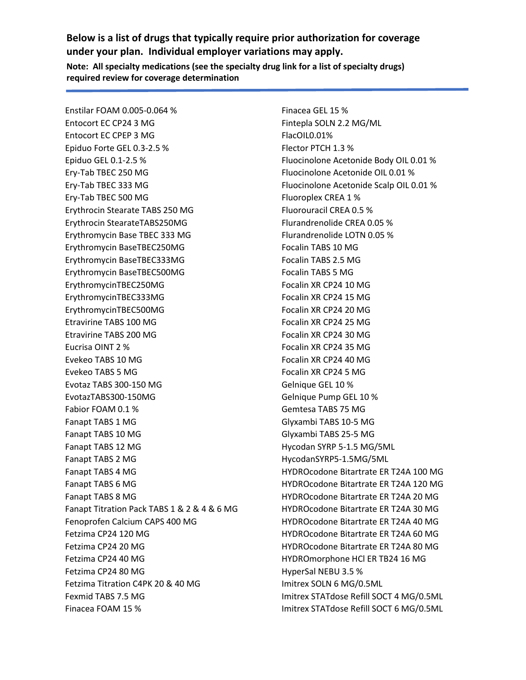Enstilar FOAM 0.005-0.064 % Entocort EC CP24 3 MG Entocort EC CPEP 3 MG Epiduo Forte GEL 0.3-2.5 % Epiduo GEL 0.1-2.5 % Ery-Tab TBEC 250 MG Ery-Tab TBEC 333 MG Ery-Tab TBEC 500 MG Erythrocin Stearate TABS 250 MG Erythrocin StearateTABS250MG Erythromycin Base TBEC 333 MG Erythromycin BaseTBEC250MG Erythromycin BaseTBEC333MG Erythromycin BaseTBEC500MG ErythromycinTBEC250MG ErythromycinTBEC333MG ErythromycinTBEC500MG Etravirine TABS 100 MG Etravirine TABS 200 MG Eucrisa OINT 2 % Evekeo TABS 10 MG Evekeo TABS 5 MG Evotaz TABS 300-150 MG EvotazTABS300-150MG Fabior FOAM 0.1 % Fanapt TABS 1 MG Fanapt TABS 10 MG Fanapt TABS 12 MG Fanapt TABS 2 MG Fanapt TABS 4 MG Fanapt TABS 6 MG Fanapt TABS 8 MG Fanapt Titration Pack TABS 1 & 2 & 4 & 6 MG Fenoprofen Calcium CAPS 400 MG Fetzima CP24 120 MG Fetzima CP24 20 MG Fetzima CP24 40 MG Fetzima CP24 80 MG Fetzima Titration C4PK 20 & 40 MG Fexmid TABS 7.5 MG Finacea FOAM 15 %

Finacea GEL 15 % Fintepla SOLN 2.2 MG/ML FlacOIL0.01% Flector PTCH 1.3 % Fluocinolone Acetonide Body OIL 0.01 % Fluocinolone Acetonide OIL 0.01 % Fluocinolone Acetonide Scalp OIL 0.01 % Fluoroplex CREA 1 % Fluorouracil CREA 0.5 % Flurandrenolide CREA 0.05 % Flurandrenolide LOTN 0.05 % Focalin TABS 10 MG Focalin TABS 2.5 MG Focalin TABS 5 MG Focalin XR CP24 10 MG Focalin XR CP24 15 MG Focalin XR CP24 20 MG Focalin XR CP24 25 MG Focalin XR CP24 30 MG Focalin XR CP24 35 MG Focalin XR CP24 40 MG Focalin XR CP24 5 MG Gelnique GEL 10 % Gelnique Pump GEL 10 % Gemtesa TABS 75 MG Glyxambi TABS 10-5 MG Glyxambi TABS 25-5 MG Hycodan SYRP 5-1.5 MG/5ML HycodanSYRP5-1.5MG/5ML HYDROcodone Bitartrate ER T24A 100 MG HYDROcodone Bitartrate ER T24A 120 MG HYDROcodone Bitartrate ER T24A 20 MG HYDROcodone Bitartrate ER T24A 30 MG HYDROcodone Bitartrate ER T24A 40 MG HYDROcodone Bitartrate ER T24A 60 MG HYDROcodone Bitartrate ER T24A 80 MG HYDROmorphone HCl ER TB24 16 MG HyperSal NEBU 3.5 % Imitrex SOLN 6 MG/0.5ML Imitrex STATdose Refill SOCT 4 MG/0.5ML Imitrex STATdose Refill SOCT 6 MG/0.5ML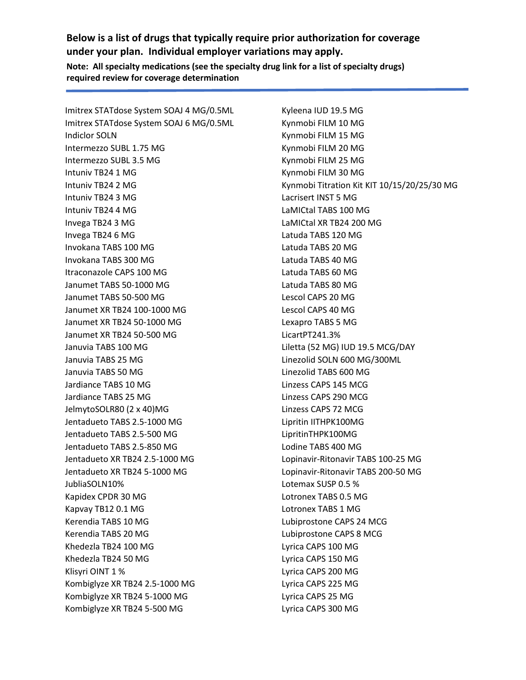**Below is a list of drugs that typically require prior authorization for coverage under your plan. Individual employer variations may apply.**

**Note: All specialty medications (see the specialty drug link for a list of specialty drugs) required review for coverage determination**

Imitrex STATdose System SOAJ 4 MG/0.5ML Imitrex STATdose System SOAJ 6 MG/0.5ML Indiclor SOLN Intermezzo SUBL 1.75 MG Intermezzo SUBL 3.5 MG Intuniv TB24 1 MG Intuniv TB24 2 MG Intuniv TB24 3 MG Intuniv TB24 4 MG Invega TB24 3 MG Invega TB24 6 MG Invokana TABS 100 MG Invokana TABS 300 MG Itraconazole CAPS 100 MG Janumet TABS 50-1000 MG Janumet TABS 50-500 MG Janumet XR TB24 100-1000 MG Janumet XR TB24 50-1000 MG Janumet XR TB24 50-500 MG Januvia TABS 100 MG Januvia TABS 25 MG Januvia TABS 50 MG Jardiance TABS 10 MG Jardiance TABS 25 MG JelmytoSOLR80 (2 x 40)MG Jentadueto TABS 2.5-1000 MG Jentadueto TABS 2.5-500 MG Jentadueto TABS 2.5-850 MG Jentadueto XR TB24 2.5-1000 MG Jentadueto XR TB24 5-1000 MG JubliaSOLN10% Kapidex CPDR 30 MG Kapvay TB12 0.1 MG Kerendia TABS 10 MG Kerendia TABS 20 MG Khedezla TB24 100 MG Khedezla TB24 50 MG Klisyri OINT 1 % Kombiglyze XR TB24 2.5-1000 MG Kombiglyze XR TB24 5-1000 MG Kombiglyze XR TB24 5-500 MG

Kyleena IUD 19.5 MG Kynmobi FILM 10 MG Kynmobi FILM 15 MG Kynmobi FILM 20 MG Kynmobi FILM 25 MG Kynmobi FILM 30 MG Kynmobi Titration Kit KIT 10/15/20/25/30 MG Lacrisert INST 5 MG LaMICtal TABS 100 MG LaMICtal XR TB24 200 MG Latuda TABS 120 MG Latuda TABS 20 MG Latuda TABS 40 MG Latuda TABS 60 MG Latuda TABS 80 MG Lescol CAPS 20 MG Lescol CAPS 40 MG Lexapro TABS 5 MG LicartPT241.3% Liletta (52 MG) IUD 19.5 MCG/DAY Linezolid SOLN 600 MG/300ML Linezolid TABS 600 MG Linzess CAPS 145 MCG Linzess CAPS 290 MCG Linzess CAPS 72 MCG Lipritin IITHPK100MG LipritinTHPK100MG Lodine TABS 400 MG Lopinavir-Ritonavir TABS 100-25 MG Lopinavir-Ritonavir TABS 200-50 MG Lotemax SUSP 0.5 % Lotronex TABS 0.5 MG Lotronex TABS 1 MG Lubiprostone CAPS 24 MCG Lubiprostone CAPS 8 MCG Lyrica CAPS 100 MG Lyrica CAPS 150 MG Lyrica CAPS 200 MG Lyrica CAPS 225 MG Lyrica CAPS 25 MG Lyrica CAPS 300 MG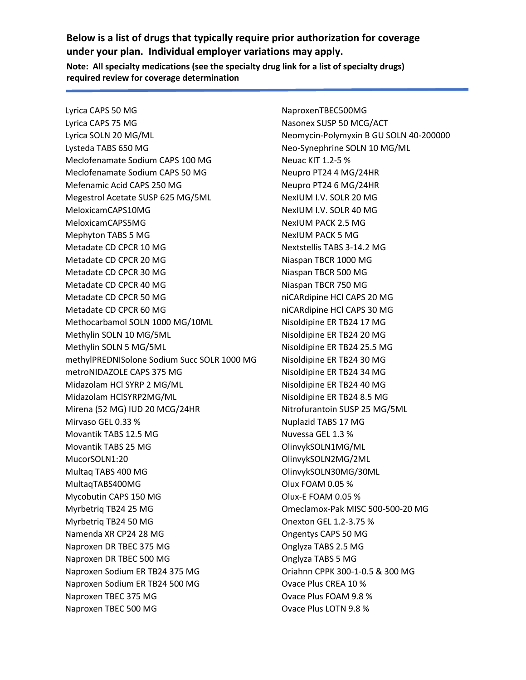Lyrica CAPS 50 MG Lyrica CAPS 75 MG Lyrica SOLN 20 MG/ML Lysteda TABS 650 MG Meclofenamate Sodium CAPS 100 MG Meclofenamate Sodium CAPS 50 MG Mefenamic Acid CAPS 250 MG Megestrol Acetate SUSP 625 MG/5ML MeloxicamCAPS10MG MeloxicamCAPS5MG Mephyton TABS 5 MG Metadate CD CPCR 10 MG Metadate CD CPCR 20 MG Metadate CD CPCR 30 MG Metadate CD CPCR 40 MG Metadate CD CPCR 50 MG Metadate CD CPCR 60 MG Methocarbamol SOLN 1000 MG/10ML Methylin SOLN 10 MG/5ML Methylin SOLN 5 MG/5ML methylPREDNISolone Sodium Succ SOLR 1000 MG metroNIDAZOLE CAPS 375 MG Midazolam HCl SYRP 2 MG/ML Midazolam HClSYRP2MG/ML Mirena (52 MG) IUD 20 MCG/24HR Mirvaso GEL 0.33 % Movantik TABS 12.5 MG Movantik TABS 25 MG MucorSOLN1:20 Multaq TABS 400 MG MultaqTABS400MG Mycobutin CAPS 150 MG Myrbetriq TB24 25 MG Myrbetriq TB24 50 MG Namenda XR CP24 28 MG Naproxen DR TBEC 375 MG Naproxen DR TBEC 500 MG Naproxen Sodium ER TB24 375 MG Naproxen Sodium ER TB24 500 MG Naproxen TBEC 375 MG Naproxen TBEC 500 MG

NaproxenTBEC500MG Nasonex SUSP 50 MCG/ACT Neomycin-Polymyxin B GU SOLN 40-200000 Neo-Synephrine SOLN 10 MG/ML Neuac KIT 1.2-5 % Neupro PT24 4 MG/24HR Neupro PT24 6 MG/24HR NexIUM I.V. SOLR 20 MG NexIUM I.V. SOLR 40 MG NexIUM PACK 2.5 MG NexIUM PACK 5 MG Nextstellis TABS 3-14.2 MG Niaspan TBCR 1000 MG Niaspan TBCR 500 MG Niaspan TBCR 750 MG niCARdipine HCl CAPS 20 MG niCARdipine HCl CAPS 30 MG Nisoldipine ER TB24 17 MG Nisoldipine ER TB24 20 MG Nisoldipine ER TB24 25.5 MG Nisoldipine ER TB24 30 MG Nisoldipine ER TB24 34 MG Nisoldipine ER TB24 40 MG Nisoldipine ER TB24 8.5 MG Nitrofurantoin SUSP 25 MG/5ML Nuplazid TABS 17 MG Nuvessa GEL 1.3 % OlinvykSOLN1MG/ML OlinvykSOLN2MG/2ML OlinvykSOLN30MG/30ML Olux FOAM 0.05 % Olux-E FOAM 0.05 % Omeclamox-Pak MISC 500-500-20 MG Onexton GEL 1.2-3.75 % Ongentys CAPS 50 MG Onglyza TABS 2.5 MG Onglyza TABS 5 MG Oriahnn CPPK 300-1-0.5 & 300 MG Ovace Plus CREA 10 % Ovace Plus FOAM 9.8 % Ovace Plus LOTN 9.8 %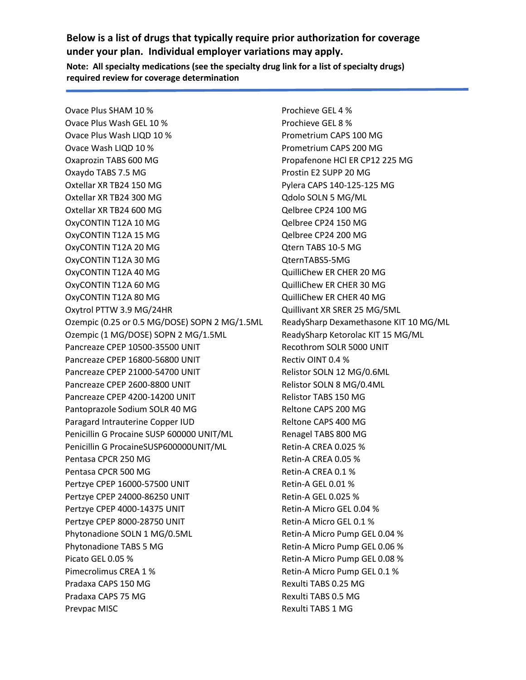Ovace Plus SHAM 10 % Ovace Plus Wash GEL 10 % Ovace Plus Wash LIQD 10 % Ovace Wash LIQD 10 % Oxaprozin TABS 600 MG Oxaydo TABS 7.5 MG Oxtellar XR TB24 150 MG Oxtellar XR TB24 300 MG Oxtellar XR TB24 600 MG OxyCONTIN T12A 10 MG OxyCONTIN T12A 15 MG OxyCONTIN T12A 20 MG OxyCONTIN T12A 30 MG OxyCONTIN T12A 40 MG OxyCONTIN T12A 60 MG OxyCONTIN T12A 80 MG Oxytrol PTTW 3.9 MG/24HR Ozempic (0.25 or 0.5 MG/DOSE) SOPN 2 MG/1.5ML Ozempic (1 MG/DOSE) SOPN 2 MG/1.5ML Pancreaze CPEP 10500-35500 UNIT Pancreaze CPEP 16800-56800 UNIT Pancreaze CPEP 21000-54700 UNIT Pancreaze CPEP 2600-8800 UNIT Pancreaze CPEP 4200-14200 UNIT Pantoprazole Sodium SOLR 40 MG Paragard Intrauterine Copper IUD Penicillin G Procaine SUSP 600000 UNIT/ML Penicillin G ProcaineSUSP600000UNIT/ML Pentasa CPCR 250 MG Pentasa CPCR 500 MG Pertzye CPEP 16000-57500 UNIT Pertzye CPEP 24000-86250 UNIT Pertzye CPEP 4000-14375 UNIT Pertzye CPEP 8000-28750 UNIT Phytonadione SOLN 1 MG/0.5ML Phytonadione TABS 5 MG Picato GEL 0.05 % Pimecrolimus CREA 1 % Pradaxa CAPS 150 MG Pradaxa CAPS 75 MG Prevpac MISC

Prochieve GEL 4 % Prochieve GEL 8 % Prometrium CAPS 100 MG Prometrium CAPS 200 MG Propafenone HCl ER CP12 225 MG Prostin E2 SUPP 20 MG Pylera CAPS 140-125-125 MG Qdolo SOLN 5 MG/ML Qelbree CP24 100 MG Qelbree CP24 150 MG Qelbree CP24 200 MG Qtern TABS 10-5 MG QternTABS5-5MG QuilliChew ER CHER 20 MG QuilliChew ER CHER 30 MG QuilliChew ER CHER 40 MG Quillivant XR SRER 25 MG/5ML ReadySharp Dexamethasone KIT 10 MG/ML ReadySharp Ketorolac KIT 15 MG/ML Recothrom SOLR 5000 UNIT Rectiv OINT 0.4 % Relistor SOLN 12 MG/0.6ML Relistor SOLN 8 MG/0.4ML Relistor TABS 150 MG Reltone CAPS 200 MG Reltone CAPS 400 MG Renagel TABS 800 MG Retin-A CREA 0.025 % Retin-A CREA 0.05 % Retin-A CREA 0.1 % Retin-A GEL 0.01 % Retin-A GEL 0.025 % Retin-A Micro GEL 0.04 % Retin-A Micro GEL 0.1 % Retin-A Micro Pump GEL 0.04 % Retin-A Micro Pump GEL 0.06 % Retin-A Micro Pump GEL 0.08 % Retin-A Micro Pump GEL 0.1 % Rexulti TABS 0.25 MG Rexulti TABS 0.5 MG Rexulti TABS 1 MG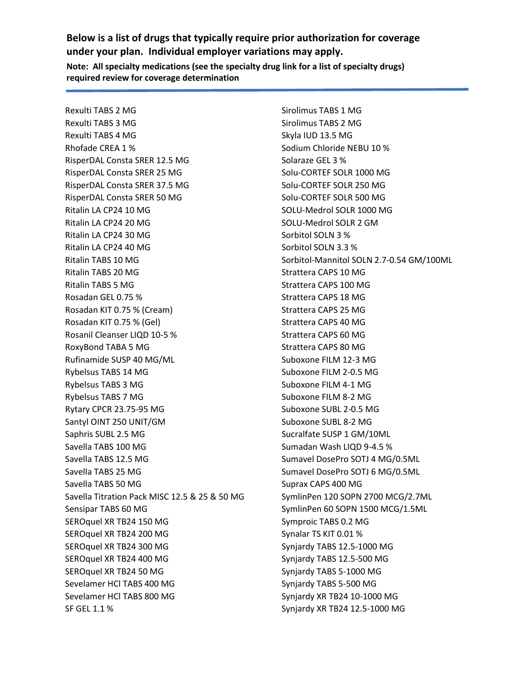Rexulti TABS 2 MG Rexulti TABS 3 MG Rexulti TABS 4 MG Rhofade CREA 1 % RisperDAL Consta SRER 12.5 MG RisperDAL Consta SRER 25 MG RisperDAL Consta SRER 37.5 MG RisperDAL Consta SRER 50 MG Ritalin LA CP24 10 MG Ritalin LA CP24 20 MG Ritalin LA CP24 30 MG Ritalin LA CP24 40 MG Ritalin TABS 10 MG Ritalin TABS 20 MG Ritalin TABS 5 MG Rosadan GEL 0.75 % Rosadan KIT 0.75 % (Cream) Rosadan KIT 0.75 % (Gel) Rosanil Cleanser LIQD 10-5 % RoxyBond TABA 5 MG Rufinamide SUSP 40 MG/ML Rybelsus TABS 14 MG Rybelsus TABS 3 MG Rybelsus TABS 7 MG Rytary CPCR 23.75-95 MG Santyl OINT 250 UNIT/GM Saphris SUBL 2.5 MG Savella TABS 100 MG Savella TABS 12.5 MG Savella TABS 25 MG Savella TABS 50 MG Savella Titration Pack MISC 12.5 & 25 & 50 MG Sensipar TABS 60 MG SEROquel XR TB24 150 MG SEROquel XR TB24 200 MG SEROquel XR TB24 300 MG SEROquel XR TB24 400 MG SEROquel XR TB24 50 MG Sevelamer HCl TABS 400 MG Sevelamer HCl TABS 800 MG SF GEL 1.1 %

Sirolimus TABS 1 MG Sirolimus TABS 2 MG Skyla IUD 13.5 MG Sodium Chloride NEBU 10 % Solaraze GEL 3 % Solu-CORTEF SOLR 1000 MG Solu-CORTEF SOLR 250 MG Solu-CORTEF SOLR 500 MG SOLU-Medrol SOLR 1000 MG SOLU-Medrol SOLR 2 GM Sorbitol SOLN 3 % Sorbitol SOLN 3.3 % Sorbitol-Mannitol SOLN 2.7-0.54 GM/100ML Strattera CAPS 10 MG Strattera CAPS 100 MG Strattera CAPS 18 MG Strattera CAPS 25 MG Strattera CAPS 40 MG Strattera CAPS 60 MG Strattera CAPS 80 MG Suboxone FILM 12-3 MG Suboxone FILM 2-0.5 MG Suboxone FILM 4-1 MG Suboxone FILM 8-2 MG Suboxone SUBL 2-0.5 MG Suboxone SUBL 8-2 MG Sucralfate SUSP 1 GM/10ML Sumadan Wash LIQD 9-4.5 % Sumavel DosePro SOTJ 4 MG/0.5ML Sumavel DosePro SOTJ 6 MG/0.5ML Suprax CAPS 400 MG SymlinPen 120 SOPN 2700 MCG/2.7ML SymlinPen 60 SOPN 1500 MCG/1.5ML Symproic TABS 0.2 MG Synalar TS KIT 0.01 % Synjardy TABS 12.5-1000 MG Synjardy TABS 12.5-500 MG Synjardy TABS 5-1000 MG Synjardy TABS 5-500 MG Synjardy XR TB24 10-1000 MG Synjardy XR TB24 12.5-1000 MG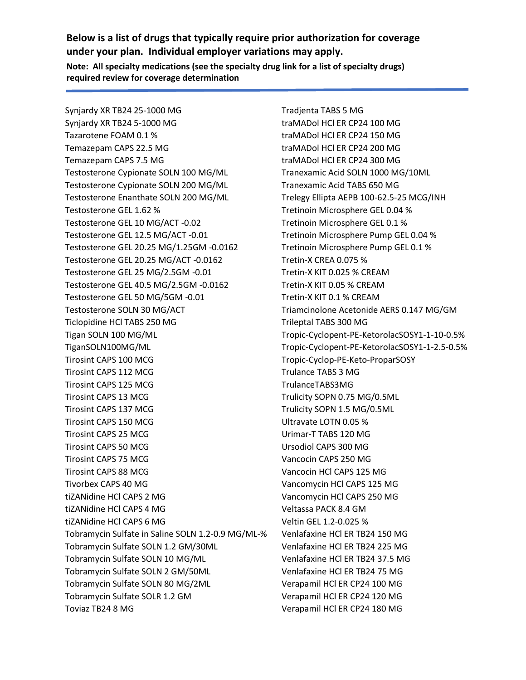**Below is a list of drugs that typically require prior authorization for coverage under your plan. Individual employer variations may apply.**

**Note: All specialty medications (see the specialty drug link for a list of specialty drugs) required review for coverage determination**

Synjardy XR TB24 25-1000 MG Synjardy XR TB24 5-1000 MG Tazarotene FOAM 0.1 % Temazepam CAPS 22.5 MG Temazepam CAPS 7.5 MG Testosterone Cypionate SOLN 100 MG/ML Testosterone Cypionate SOLN 200 MG/ML Testosterone Enanthate SOLN 200 MG/ML Testosterone GEL 1.62 % Testosterone GEL 10 MG/ACT -0.02 Testosterone GEL 12.5 MG/ACT -0.01 Testosterone GEL 20.25 MG/1.25GM -0.0162 Testosterone GEL 20.25 MG/ACT -0.0162 Testosterone GEL 25 MG/2.5GM -0.01 Testosterone GEL 40.5 MG/2.5GM -0.0162 Testosterone GEL 50 MG/5GM -0.01 Testosterone SOLN 30 MG/ACT Ticlopidine HCl TABS 250 MG Tigan SOLN 100 MG/ML TiganSOLN100MG/ML Tirosint CAPS 100 MCG Tirosint CAPS 112 MCG Tirosint CAPS 125 MCG Tirosint CAPS 13 MCG Tirosint CAPS 137 MCG Tirosint CAPS 150 MCG Tirosint CAPS 25 MCG Tirosint CAPS 50 MCG Tirosint CAPS 75 MCG Tirosint CAPS 88 MCG Tivorbex CAPS 40 MG tiZANidine HCl CAPS 2 MG tiZANidine HCl CAPS 4 MG tiZANidine HCl CAPS 6 MG Tobramycin Sulfate in Saline SOLN 1.2-0.9 MG/ML-% Tobramycin Sulfate SOLN 1.2 GM/30ML Tobramycin Sulfate SOLN 10 MG/ML Tobramycin Sulfate SOLN 2 GM/50ML Tobramycin Sulfate SOLN 80 MG/2ML Tobramycin Sulfate SOLR 1.2 GM Toviaz TB24 8 MG

Tradjenta TABS 5 MG traMADol HCl ER CP24 100 MG traMADol HCl ER CP24 150 MG traMADol HCl ER CP24 200 MG traMADol HCl ER CP24 300 MG Tranexamic Acid SOLN 1000 MG/10ML Tranexamic Acid TABS 650 MG Trelegy Ellipta AEPB 100-62.5-25 MCG/INH Tretinoin Microsphere GEL 0.04 % Tretinoin Microsphere GEL 0.1 % Tretinoin Microsphere Pump GEL 0.04 % Tretinoin Microsphere Pump GEL 0.1 % Tretin-X CREA 0.075 % Tretin-X KIT 0.025 % CREAM Tretin-X KIT 0.05 % CREAM Tretin-X KIT 0.1 % CREAM Triamcinolone Acetonide AERS 0.147 MG/GM Trileptal TABS 300 MG Tropic-Cyclopent-PE-KetorolacSOSY1-1-10-0.5% Tropic-Cyclopent-PE-KetorolacSOSY1-1-2.5-0.5% Tropic-Cyclop-PE-Keto-ProparSOSY Trulance TABS 3 MG TrulanceTABS3MG Trulicity SOPN 0.75 MG/0.5ML Trulicity SOPN 1.5 MG/0.5ML Ultravate LOTN 0.05 % Urimar-T TABS 120 MG Ursodiol CAPS 300 MG Vancocin CAPS 250 MG Vancocin HCl CAPS 125 MG Vancomycin HCl CAPS 125 MG Vancomycin HCl CAPS 250 MG Veltassa PACK 8.4 GM Veltin GEL 1.2-0.025 % Venlafaxine HCl ER TB24 150 MG Venlafaxine HCl ER TB24 225 MG Venlafaxine HCl ER TB24 37.5 MG Venlafaxine HCl ER TB24 75 MG Verapamil HCl ER CP24 100 MG Verapamil HCl ER CP24 120 MG Verapamil HCl ER CP24 180 MG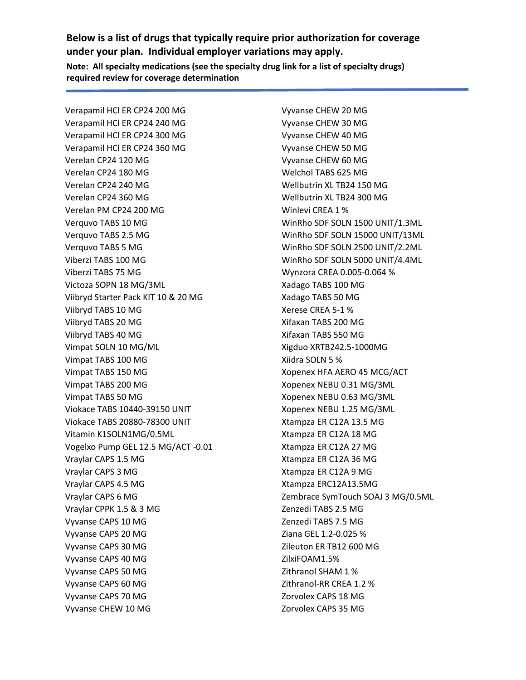Verapamil HCl ER CP24 200 MG Verapamil HCl ER CP24 240 MG Verapamil HCl ER CP24 300 MG Verapamil HCl ER CP24 360 MG Verelan CP24 120 MG Verelan CP24 180 MG Verelan CP24 240 MG Verelan CP24 360 MG Verelan PM CP24 200 MG Verquvo TABS 10 MG Verquvo TABS 2.5 MG Verquvo TABS 5 MG Viberzi TABS 100 MG Viberzi TABS 75 MG Victoza SOPN 18 MG/3ML Viibryd Starter Pack KIT 10 & 20 MG Viibryd TABS 10 MG Viibryd TABS 20 MG Viibryd TABS 40 MG Vimpat SOLN 10 MG/ML Vimpat TABS 100 MG Vimpat TABS 150 MG Vimpat TABS 200 MG Vimpat TABS 50 MG Viokace TABS 10440-39150 UNIT Viokace TABS 20880-78300 UNIT Vitamin K1SOLN1MG/0.5ML Vogelxo Pump GEL 12.5 MG/ACT -0.01 Vraylar CAPS 1.5 MG Vraylar CAPS 3 MG Vraylar CAPS 4.5 MG Vraylar CAPS 6 MG Vraylar CPPK 1.5 & 3 MG Vyvanse CAPS 10 MG Vyvanse CAPS 20 MG Vyvanse CAPS 30 MG Vyvanse CAPS 40 MG Vyvanse CAPS 50 MG Vyvanse CAPS 60 MG Vyvanse CAPS 70 MG Vyvanse CHEW 10 MG

**required review for coverage determination**

Vyvanse CHEW 20 MG Vyvanse CHEW 30 MG Vyvanse CHEW 40 MG Vyvanse CHEW 50 MG Vyvanse CHEW 60 MG Welchol TABS 625 MG Wellbutrin XL TB24 150 MG Wellbutrin XL TB24 300 MG Winlevi CREA 1 % WinRho SDF SOLN 1500 UNIT/1.3ML WinRho SDF SOLN 15000 UNIT/13ML WinRho SDF SOLN 2500 UNIT/2.2ML WinRho SDF SOLN 5000 UNIT/4.4ML Wynzora CREA 0.005-0.064 % Xadago TABS 100 MG Xadago TABS 50 MG Xerese CREA 5-1 % Xifaxan TABS 200 MG Xifaxan TABS 550 MG Xigduo XRTB242.5-1000MG Xiidra SOLN 5 % Xopenex HFA AERO 45 MCG/ACT Xopenex NEBU 0.31 MG/3ML Xopenex NEBU 0.63 MG/3ML Xopenex NEBU 1.25 MG/3ML Xtampza ER C12A 13.5 MG Xtampza ER C12A 18 MG Xtampza ER C12A 27 MG Xtampza ER C12A 36 MG Xtampza ER C12A 9 MG Xtampza ERC12A13.5MG Zembrace SymTouch SOAJ 3 MG/0.5ML Zenzedi TABS 2.5 MG Zenzedi TABS 7.5 MG Ziana GEL 1.2-0.025 % Zileuton ER TB12 600 MG ZilxiFOAM1.5% Zithranol SHAM 1 % Zithranol-RR CREA 1.2 % Zorvolex CAPS 18 MG Zorvolex CAPS 35 MG